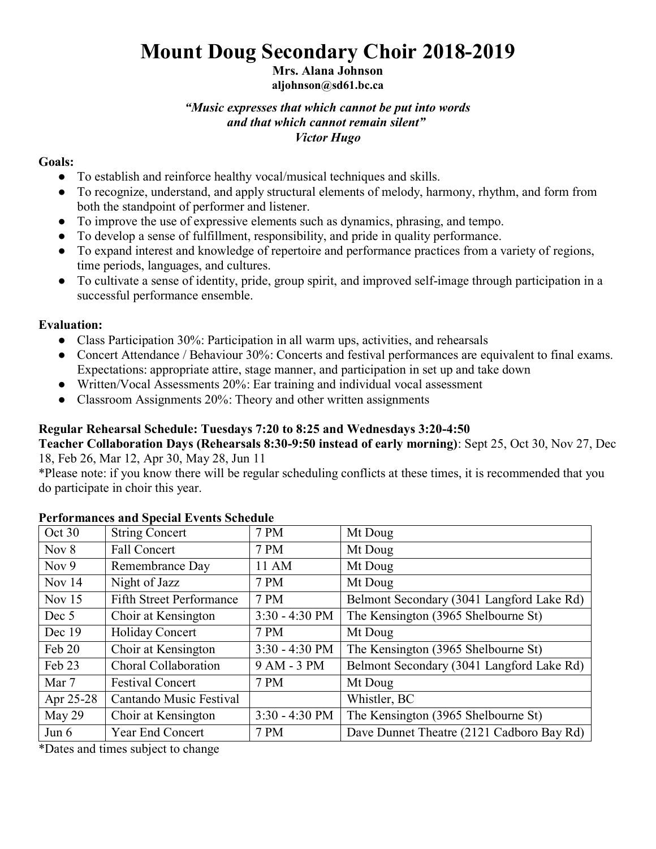# **Mount Doug Secondary Choir 2018-2019**

# **Mrs. Alana Johnson**

# **aljohnson@sd61.bc.ca**

#### *"Music expresses that which cannot be put into words and that which cannot remain silent" Victor Hugo*

### **Goals:**

- To establish and reinforce healthy vocal/musical techniques and skills.
- To recognize, understand, and apply structural elements of melody, harmony, rhythm, and form from both the standpoint of performer and listener.
- To improve the use of expressive elements such as dynamics, phrasing, and tempo.
- To develop a sense of fulfillment, responsibility, and pride in quality performance.
- To expand interest and knowledge of repertoire and performance practices from a variety of regions, time periods, languages, and cultures.
- To cultivate a sense of identity, pride, group spirit, and improved self-image through participation in a successful performance ensemble.

## **Evaluation:**

- Class Participation 30%: Participation in all warm ups, activities, and rehearsals
- Concert Attendance / Behaviour 30%: Concerts and festival performances are equivalent to final exams. Expectations: appropriate attire, stage manner, and participation in set up and take down
- Written/Vocal Assessments 20%: Ear training and individual vocal assessment
- Classroom Assignments 20%: Theory and other written assignments

# **Regular Rehearsal Schedule: Tuesdays 7:20 to 8:25 and Wednesdays 3:20-4:50**

**Teacher Collaboration Days (Rehearsals 8:30-9:50 instead of early morning)**: Sept 25, Oct 30, Nov 27, Dec 18, Feb 26, Mar 12, Apr 30, May 28, Jun 11

\*Please note: if you know there will be regular scheduling conflicts at these times, it is recommended that you do participate in choir this year.

| Oct 30    | <b>String Concert</b>           | 7 PM             | Mt Doug                                   |
|-----------|---------------------------------|------------------|-------------------------------------------|
| Nov $8$   | <b>Fall Concert</b>             | 7 PM             | Mt Doug                                   |
| Nov $9$   | Remembrance Day                 | 11 AM            | Mt Doug                                   |
| Nov 14    | Night of Jazz                   | 7 PM             | Mt Doug                                   |
| Nov $15$  | <b>Fifth Street Performance</b> | 7 PM             | Belmont Secondary (3041 Langford Lake Rd) |
| Dec 5     | Choir at Kensington             | $3:30 - 4:30$ PM | The Kensington (3965 Shelbourne St)       |
| Dec 19    | Holiday Concert                 | 7 PM             | Mt Doug                                   |
| Feb 20    | Choir at Kensington             | $3:30 - 4:30$ PM | The Kensington (3965 Shelbourne St)       |
| Feb 23    | Choral Collaboration            | 9 AM - 3 PM      | Belmont Secondary (3041 Langford Lake Rd) |
| Mar 7     | <b>Festival Concert</b>         | 7 PM             | Mt Doug                                   |
| Apr 25-28 | Cantando Music Festival         |                  | Whistler, BC                              |
| May 29    | Choir at Kensington             | $3:30 - 4:30$ PM | The Kensington (3965 Shelbourne St)       |
| Jun $6$   | Year End Concert                | 7 PM             | Dave Dunnet Theatre (2121 Cadboro Bay Rd) |

### **Performances and Special Events Schedule**

\*Dates and times subject to change